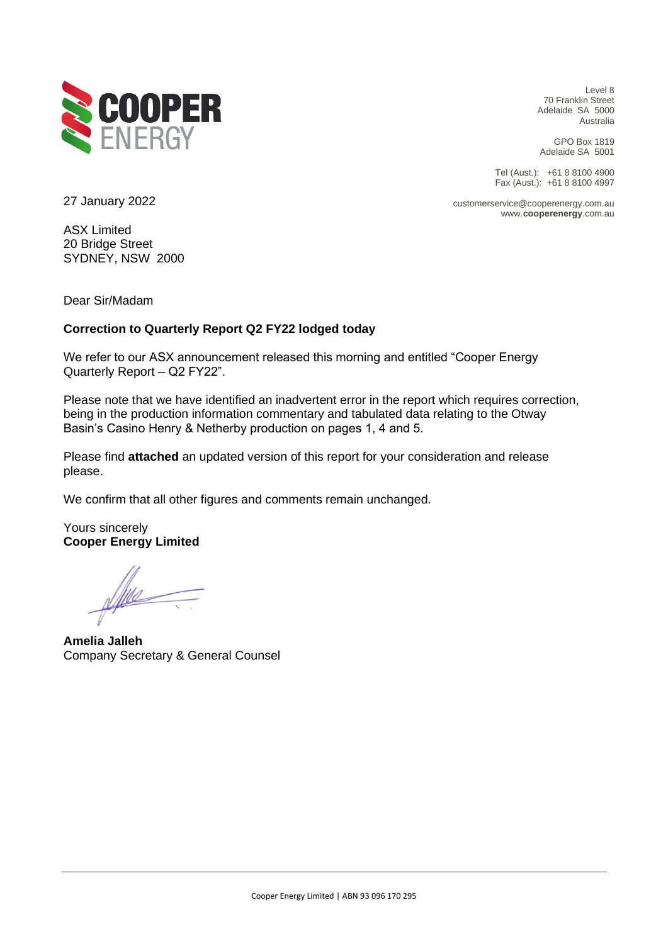

Level 8 70 Franklin Street Adelaide SA 5000 Australia

GPO Box 1819 Adelaide SA 5001

Tel (Aust.): +61 8 8100 4900 Fax (Aust.): +61 8 8100 4997

www.**cooperenergy**.com.au

customerservice@cooperenergy.com.au

27 January 2022

ASX Limited 20 Bridge Street SYDNEY, NSW 2000

Dear Sir/Madam

### **Correction to Quarterly Report Q2 FY22 lodged today**

We refer to our ASX announcement released this morning and entitled "Cooper Energy Quarterly Report – Q2 FY22".

Please note that we have identified an inadvertent error in the report which requires correction, being in the production information commentary and tabulated data relating to the Otway Basin's Casino Henry & Netherby production on pages 1, 4 and 5.

Please find **attached** an updated version of this report for your consideration and release please.

We confirm that all other figures and comments remain unchanged.

Yours sincerely **Cooper Energy Limited**

Alle

**Amelia Jalleh** Company Secretary & General Counsel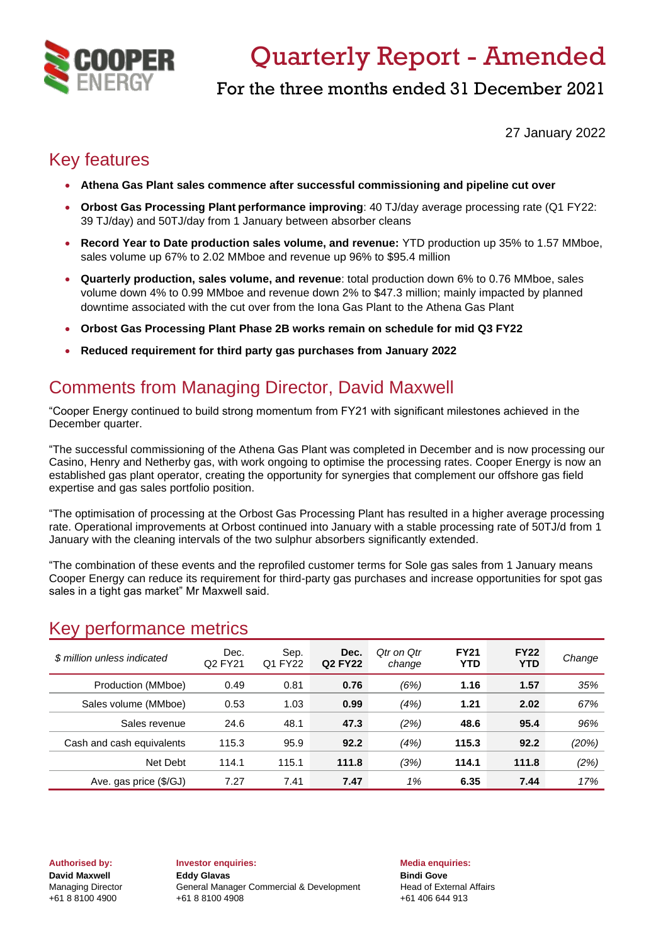

# Quarterly Report - Amended

For the three months ended 31 December 2021

27 January 2022

## Key features

- **Athena Gas Plant sales commence after successful commissioning and pipeline cut over**
- **Orbost Gas Processing Plant performance improving**: 40 TJ/day average processing rate (Q1 FY22: 39 TJ/day) and 50TJ/day from 1 January between absorber cleans
- **Record Year to Date production sales volume, and revenue:** YTD production up 35% to 1.57 MMboe, sales volume up 67% to 2.02 MMboe and revenue up 96% to \$95.4 million
- **Quarterly production, sales volume, and revenue**: total production down 6% to 0.76 MMboe, sales volume down 4% to 0.99 MMboe and revenue down 2% to \$47.3 million; mainly impacted by planned downtime associated with the cut over from the Iona Gas Plant to the Athena Gas Plant
- **Orbost Gas Processing Plant Phase 2B works remain on schedule for mid Q3 FY22**
- **Reduced requirement for third party gas purchases from January 2022**

## Comments from Managing Director, David Maxwell

"Cooper Energy continued to build strong momentum from FY21 with significant milestones achieved in the December quarter.

"The successful commissioning of the Athena Gas Plant was completed in December and is now processing our Casino, Henry and Netherby gas, with work ongoing to optimise the processing rates. Cooper Energy is now an established gas plant operator, creating the opportunity for synergies that complement our offshore gas field expertise and gas sales portfolio position.

"The optimisation of processing at the Orbost Gas Processing Plant has resulted in a higher average processing rate. Operational improvements at Orbost continued into January with a stable processing rate of 50TJ/d from 1 January with the cleaning intervals of the two sulphur absorbers significantly extended.

"The combination of these events and the reprofiled customer terms for Sole gas sales from 1 January means Cooper Energy can reduce its requirement for third-party gas purchases and increase opportunities for spot gas sales in a tight gas market" Mr Maxwell said.

### Key performance metrics

| \$ million unless indicated | Dec.<br>Q <sub>2</sub> FY <sub>21</sub> | Sep.<br>Q1 FY22 | Dec.<br>Q <sub>2</sub> FY <sub>22</sub> | Otr on Otr<br>change | <b>FY21</b><br>YTD | <b>FY22</b><br><b>YTD</b> | Change |
|-----------------------------|-----------------------------------------|-----------------|-----------------------------------------|----------------------|--------------------|---------------------------|--------|
| Production (MMboe)          | 0.49                                    | 0.81            | 0.76                                    | (6%)                 | 1.16               | 1.57                      | 35%    |
| Sales volume (MMboe)        | 0.53                                    | 1.03            | 0.99                                    | (4%)                 | 1.21               | 2.02                      | 67%    |
| Sales revenue               | 24.6                                    | 48.1            | 47.3                                    | (2%)                 | 48.6               | 95.4                      | 96%    |
| Cash and cash equivalents   | 115.3                                   | 95.9            | 92.2                                    | (4%)                 | 115.3              | 92.2                      | (20%)  |
| Net Debt                    | 114.1                                   | 115.1           | 111.8                                   | (3%)                 | 114.1              | 111.8                     | (2%)   |
| Ave. gas price (\$/GJ)      | 7.27                                    | 7.41            | 7.47                                    | 1%                   | 6.35               | 7.44                      | 17%    |

**Authorised by: Investor enquiries: Media enquiries: David Maxwell Eddy Glavas Bindi Gove Bindi Gove** Managing Director General Manager Commercial & Development Head of External Affairs +61 8 8100 4900 +61 8 8100 4908 +61 406 644 913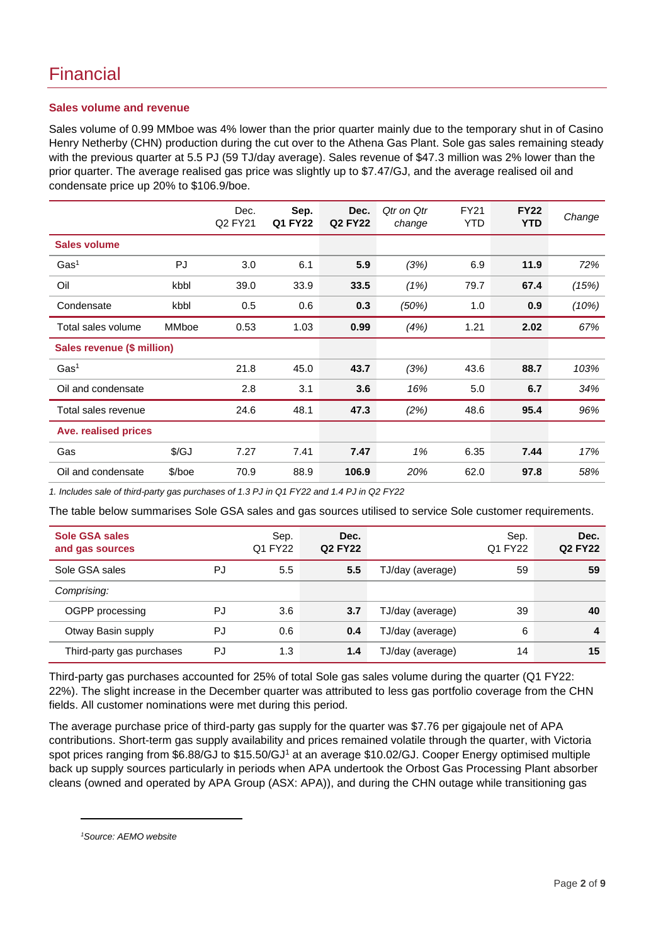### Financial

#### **Sales volume and revenue**

Sales volume of 0.99 MMboe was 4% lower than the prior quarter mainly due to the temporary shut in of Casino Henry Netherby (CHN) production during the cut over to the Athena Gas Plant. Sole gas sales remaining steady with the previous quarter at 5.5 PJ (59 TJ/day average). Sales revenue of \$47.3 million was 2% lower than the prior quarter. The average realised gas price was slightly up to \$7.47/GJ, and the average realised oil and condensate price up 20% to \$106.9/boe.

|                            |                      | Dec.<br>Q2 FY21 | Sep.<br>Q1 FY22 | Dec.<br><b>Q2 FY22</b> | Qtr on Qtr<br>change | <b>FY21</b><br>YTD | <b>FY22</b><br><b>YTD</b> | Change |
|----------------------------|----------------------|-----------------|-----------------|------------------------|----------------------|--------------------|---------------------------|--------|
| <b>Sales volume</b>        |                      |                 |                 |                        |                      |                    |                           |        |
| Gas <sup>1</sup>           | PJ                   | 3.0             | 6.1             | 5.9                    | (3%)                 | 6.9                | 11.9                      | 72%    |
| Oil                        | kbbl                 | 39.0            | 33.9            | 33.5                   | (1%)                 | 79.7               | 67.4                      | (15%)  |
| Condensate                 | kbbl                 | 0.5             | 0.6             | 0.3                    | (50%)                | 1.0                | 0.9                       | (10%)  |
| Total sales volume         | <b>MMboe</b>         | 0.53            | 1.03            | 0.99                   | (4%)                 | 1.21               | 2.02                      | 67%    |
| Sales revenue (\$ million) |                      |                 |                 |                        |                      |                    |                           |        |
| Gas <sup>1</sup>           |                      | 21.8            | 45.0            | 43.7                   | (3%)                 | 43.6               | 88.7                      | 103%   |
| Oil and condensate         |                      | 2.8             | 3.1             | 3.6                    | 16%                  | 5.0                | 6.7                       | 34%    |
| Total sales revenue        |                      | 24.6            | 48.1            | 47.3                   | (2%)                 | 48.6               | 95.4                      | 96%    |
| Ave. realised prices       |                      |                 |                 |                        |                      |                    |                           |        |
| Gas                        | $\sqrt{\mathcal{G}}$ | 7.27            | 7.41            | 7.47                   | 1%                   | 6.35               | 7.44                      | 17%    |
| Oil and condensate         | $$/$ boe             | 70.9            | 88.9            | 106.9                  | 20%                  | 62.0               | 97.8                      | 58%    |

*1. Includes sale of third-party gas purchases of 1.3 PJ in Q1 FY22 and 1.4 PJ in Q2 FY22*

The table below summarises Sole GSA sales and gas sources utilised to service Sole customer requirements.

| <b>Sole GSA sales</b><br>and gas sources |    | Sep.<br>Q1 FY22 | Dec.<br>Q <sub>2</sub> FY <sub>22</sub> |                  | Sep.<br>Q1 FY22 | Dec.<br><b>Q2 FY22</b> |
|------------------------------------------|----|-----------------|-----------------------------------------|------------------|-----------------|------------------------|
| Sole GSA sales                           | PJ | 5.5             | 5.5                                     | TJ/day (average) | 59              | 59                     |
| Comprising:                              |    |                 |                                         |                  |                 |                        |
| OGPP processing                          | PJ | 3.6             | 3.7                                     | TJ/day (average) | 39              | 40                     |
| Otway Basin supply                       | PJ | 0.6             | 0.4                                     | TJ/day (average) | 6               | 4                      |
| Third-party gas purchases                | PJ | 1.3             | 1.4                                     | TJ/day (average) | 14              | 15                     |

Third-party gas purchases accounted for 25% of total Sole gas sales volume during the quarter (Q1 FY22: 22%). The slight increase in the December quarter was attributed to less gas portfolio coverage from the CHN fields. All customer nominations were met during this period.

The average purchase price of third-party gas supply for the quarter was \$7.76 per gigajoule net of APA contributions. Short-term gas supply availability and prices remained volatile through the quarter, with Victoria spot prices ranging from \$6.88/GJ to \$15.50/GJ<sup>1</sup> at an average \$10.02/GJ. Cooper Energy optimised multiple back up supply sources particularly in periods when APA undertook the Orbost Gas Processing Plant absorber cleans (owned and operated by APA Group (ASX: APA)), and during the CHN outage while transitioning gas

*<sup>1</sup>Source: AEMO website*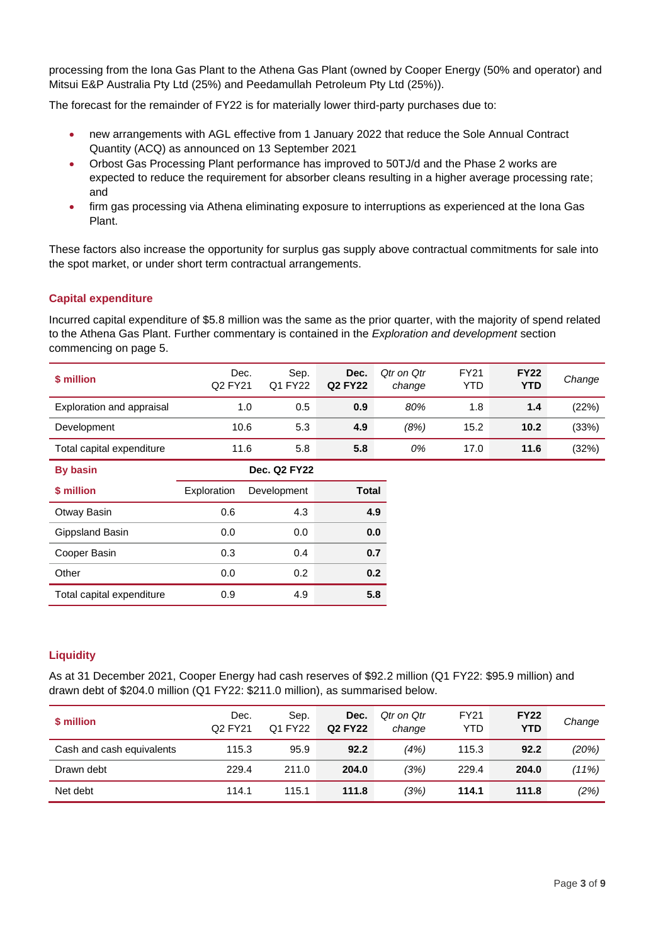processing from the Iona Gas Plant to the Athena Gas Plant (owned by Cooper Energy (50% and operator) and Mitsui E&P Australia Pty Ltd (25%) and Peedamullah Petroleum Pty Ltd (25%)).

The forecast for the remainder of FY22 is for materially lower third-party purchases due to:

- new arrangements with AGL effective from 1 January 2022 that reduce the Sole Annual Contract Quantity (ACQ) as announced on 13 September 2021
- Orbost Gas Processing Plant performance has improved to 50TJ/d and the Phase 2 works are expected to reduce the requirement for absorber cleans resulting in a higher average processing rate; and
- firm gas processing via Athena eliminating exposure to interruptions as experienced at the Iona Gas Plant.

These factors also increase the opportunity for surplus gas supply above contractual commitments for sale into the spot market, or under short term contractual arrangements.

### **Capital expenditure**

Incurred capital expenditure of \$5.8 million was the same as the prior quarter, with the majority of spend related to the Athena Gas Plant. Further commentary is contained in the *Exploration and development* section commencing on page 5.

| \$ million                | Dec.<br>Q <sub>2</sub> FY <sub>21</sub> | Sep.<br>Q1 FY22 | Dec.<br><b>Q2 FY22</b> | Qtr on Qtr<br>change | <b>FY21</b><br>YTD | <b>FY22</b><br><b>YTD</b> | Change |
|---------------------------|-----------------------------------------|-----------------|------------------------|----------------------|--------------------|---------------------------|--------|
| Exploration and appraisal | 1.0                                     | 0.5             | 0.9                    | 80%                  | 1.8                | 1.4                       | (22%)  |
| Development               | 10.6                                    | 5.3             | 4.9                    | (8%)                 | 15.2               | 10.2                      | (33%)  |
| Total capital expenditure | 11.6                                    | 5.8             | 5.8                    | 0%                   | 17.0               | 11.6                      | (32%)  |

| <b>By basin</b>           |             | Dec. Q2 FY22 |       |
|---------------------------|-------------|--------------|-------|
| \$ million                | Exploration | Development  | Total |
| Otway Basin               | 0.6         | 4.3          | 4.9   |
| Gippsland Basin           | 0.0         | 0.0          | 0.0   |
| Cooper Basin              | 0.3         | 0.4          | 0.7   |
| Other                     | 0.0         | 0.2          | 0.2   |
| Total capital expenditure | 0.9         | 4.9          | 5.8   |

#### **Liquidity**

As at 31 December 2021, Cooper Energy had cash reserves of \$92.2 million (Q1 FY22: \$95.9 million) and drawn debt of \$204.0 million (Q1 FY22: \$211.0 million), as summarised below.

| \$ million                | Dec.<br>Q <sub>2</sub> FY <sub>21</sub> | Sep.<br>Q1 FY22 | Dec.<br><b>Q2 FY22</b> | Qtr on Qtr<br>change | <b>FY21</b><br><b>YTD</b> | <b>FY22</b><br><b>YTD</b> | Change |
|---------------------------|-----------------------------------------|-----------------|------------------------|----------------------|---------------------------|---------------------------|--------|
| Cash and cash equivalents | 115.3                                   | 95.9            | 92.2                   | (4%)                 | 115.3                     | 92.2                      | (20%)  |
| Drawn debt                | 229.4                                   | 211.0           | 204.0                  | (3%)                 | 229.4                     | 204.0                     | (11%)  |
| Net debt                  | 114.1                                   | 115.1           | 111.8                  | (3%)                 | 114.1                     | 111.8                     | (2%)   |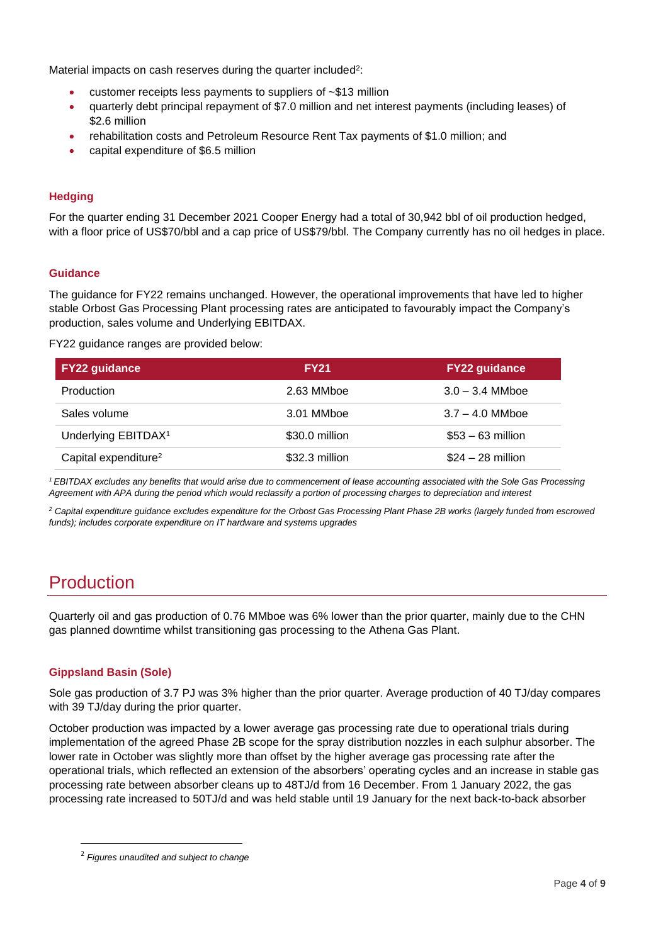Material impacts on cash reserves during the quarter included<sup>2</sup>:

- customer receipts less payments to suppliers of  $~513$  million
- quarterly debt principal repayment of \$7.0 million and net interest payments (including leases) of \$2.6 million
- rehabilitation costs and Petroleum Resource Rent Tax payments of \$1.0 million; and
- capital expenditure of \$6.5 million

### **Hedging**

For the quarter ending 31 December 2021 Cooper Energy had a total of 30,942 bbl of oil production hedged, with a floor price of US\$70/bbl and a cap price of US\$79/bbl. The Company currently has no oil hedges in place.

#### **Guidance**

The guidance for FY22 remains unchanged. However, the operational improvements that have led to higher stable Orbost Gas Processing Plant processing rates are anticipated to favourably impact the Company's production, sales volume and Underlying EBITDAX.

FY22 guidance ranges are provided below:

| <b>FY22 guidance</b>             | <b>FY21</b>    | <b>FY22 guidance</b> |
|----------------------------------|----------------|----------------------|
| Production                       | 2.63 MMboe     | $3.0 - 3.4$ MMboe    |
| Sales volume                     | 3.01 MMboe     | $3.7 - 4.0$ MMboe    |
| Underlying EBITDAX <sup>1</sup>  | \$30.0 million | $$53 - 63$ million   |
| Capital expenditure <sup>2</sup> | \$32.3 million | $$24 - 28$ million   |

*<sup>1</sup>EBITDAX excludes any benefits that would arise due to commencement of lease accounting associated with the Sole Gas Processing Agreement with APA during the period which would reclassify a portion of processing charges to depreciation and interest*

*<sup>2</sup> Capital expenditure guidance excludes expenditure for the Orbost Gas Processing Plant Phase 2B works (largely funded from escrowed funds); includes corporate expenditure on IT hardware and systems upgrades*

### Production

Quarterly oil and gas production of 0.76 MMboe was 6% lower than the prior quarter, mainly due to the CHN gas planned downtime whilst transitioning gas processing to the Athena Gas Plant.

#### **Gippsland Basin (Sole)**

Sole gas production of 3.7 PJ was 3% higher than the prior quarter. Average production of 40 TJ/day compares with 39 TJ/day during the prior quarter.

October production was impacted by a lower average gas processing rate due to operational trials during implementation of the agreed Phase 2B scope for the spray distribution nozzles in each sulphur absorber. The lower rate in October was slightly more than offset by the higher average gas processing rate after the operational trials, which reflected an extension of the absorbers' operating cycles and an increase in stable gas processing rate between absorber cleans up to 48TJ/d from 16 December. From 1 January 2022, the gas processing rate increased to 50TJ/d and was held stable until 19 January for the next back-to-back absorber

<sup>2</sup> *Figures unaudited and subject to change*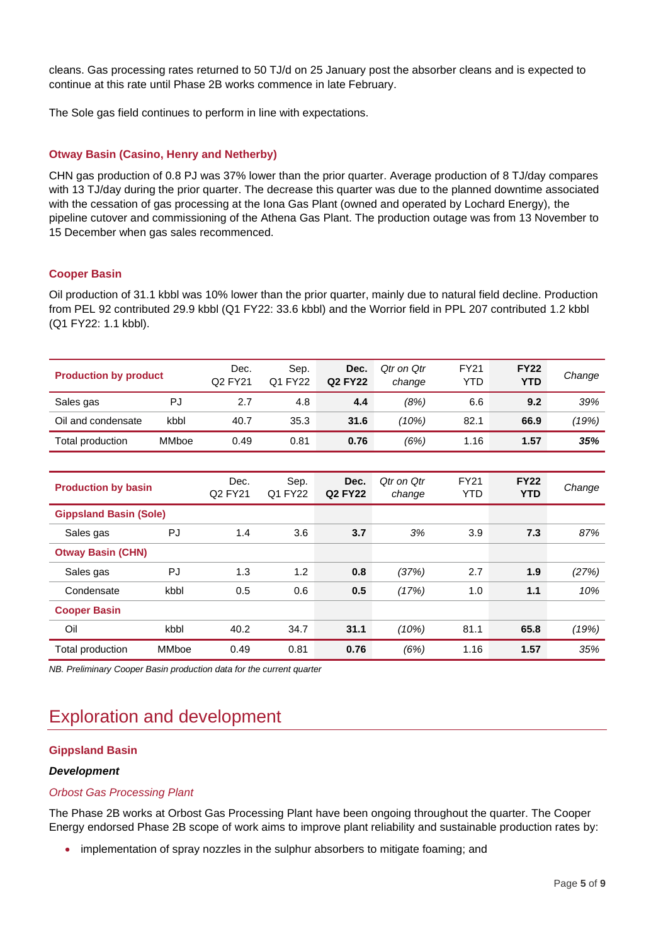cleans. Gas processing rates returned to 50 TJ/d on 25 January post the absorber cleans and is expected to continue at this rate until Phase 2B works commence in late February.

The Sole gas field continues to perform in line with expectations.

#### **Otway Basin (Casino, Henry and Netherby)**

CHN gas production of 0.8 PJ was 37% lower than the prior quarter. Average production of 8 TJ/day compares with 13 TJ/day during the prior quarter. The decrease this quarter was due to the planned downtime associated with the cessation of gas processing at the Iona Gas Plant (owned and operated by Lochard Energy), the pipeline cutover and commissioning of the Athena Gas Plant. The production outage was from 13 November to 15 December when gas sales recommenced.

#### **Cooper Basin**

Oil production of 31.1 kbbl was 10% lower than the prior quarter, mainly due to natural field decline. Production from PEL 92 contributed 29.9 kbbl (Q1 FY22: 33.6 kbbl) and the Worrior field in PPL 207 contributed 1.2 kbbl (Q1 FY22: 1.1 kbbl).

|                               |       | Dec.    | Sep.    | Dec.           | Otr on Otr | <b>FY21</b> | <b>FY22</b> |        |
|-------------------------------|-------|---------|---------|----------------|------------|-------------|-------------|--------|
| <b>Production by product</b>  |       | Q2 FY21 | Q1 FY22 | <b>Q2 FY22</b> | change     | <b>YTD</b>  | <b>YTD</b>  | Change |
|                               |       |         |         |                |            |             |             |        |
| Sales gas                     | PJ    | 2.7     | 4.8     | 4.4            | (8%)       | 6.6         | 9.2         | 39%    |
| Oil and condensate            | kbbl  | 40.7    | 35.3    | 31.6           | (10%)      | 82.1        | 66.9        | (19%)  |
| Total production              | MMboe | 0.49    | 0.81    | 0.76           | (6%)       | 1.16        | 1.57        | 35%    |
|                               |       |         |         |                |            |             |             |        |
|                               |       | Dec.    | Sep.    | Dec.           | Qtr on Qtr | <b>FY21</b> | <b>FY22</b> |        |
| <b>Production by basin</b>    |       | Q2 FY21 | Q1 FY22 | <b>Q2 FY22</b> | change     | <b>YTD</b>  | <b>YTD</b>  | Change |
| <b>Gippsland Basin (Sole)</b> |       |         |         |                |            |             |             |        |
| Sales gas                     | PJ    | 1.4     | 3.6     | 3.7            | 3%         | 3.9         | 7.3         | 87%    |
| <b>Otway Basin (CHN)</b>      |       |         |         |                |            |             |             |        |
| Sales gas                     | PJ    | 1.3     | 1.2     | 0.8            | (37%)      | 2.7         | 1.9         | (27%)  |
| Condensate                    | kbbl  | 0.5     | 0.6     | 0.5            | (17%)      | 1.0         | 1.1         | 10%    |
| <b>Cooper Basin</b>           |       |         |         |                |            |             |             |        |
| Oil                           | kbbl  | 40.2    | 34.7    | 31.1           | (10%)      | 81.1        | 65.8        | (19%)  |
| Total production              | MMboe | 0.49    | 0.81    | 0.76           | (6%)       | 1.16        | 1.57        | 35%    |

*NB. Preliminary Cooper Basin production data for the current quarter*

### Exploration and development

#### **Gippsland Basin**

#### *Development*

#### *Orbost Gas Processing Plant*

The Phase 2B works at Orbost Gas Processing Plant have been ongoing throughout the quarter. The Cooper Energy endorsed Phase 2B scope of work aims to improve plant reliability and sustainable production rates by:

• implementation of spray nozzles in the sulphur absorbers to mitigate foaming; and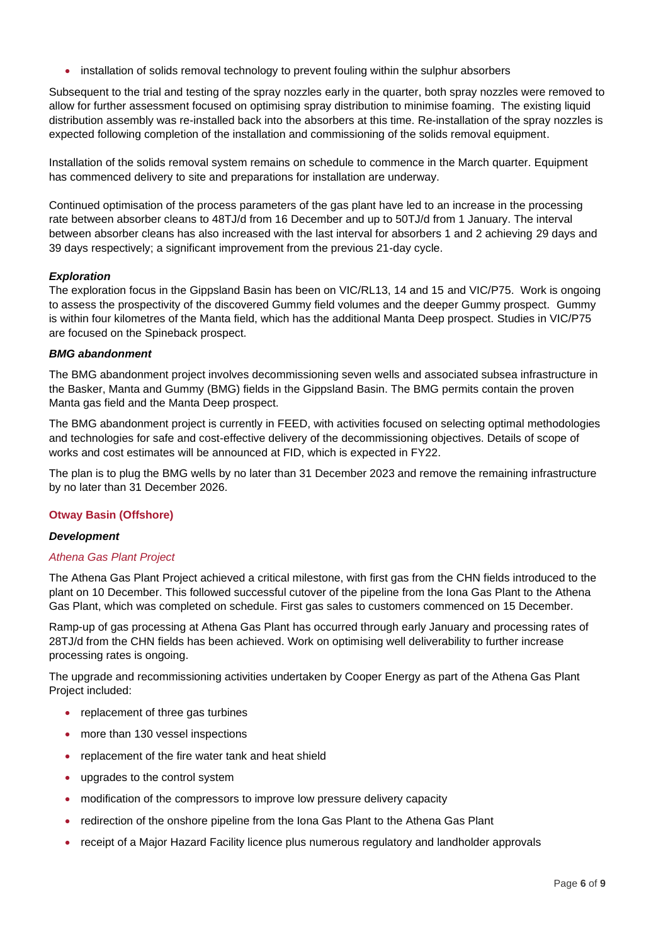• installation of solids removal technology to prevent fouling within the sulphur absorbers

Subsequent to the trial and testing of the spray nozzles early in the quarter, both spray nozzles were removed to allow for further assessment focused on optimising spray distribution to minimise foaming. The existing liquid distribution assembly was re-installed back into the absorbers at this time. Re-installation of the spray nozzles is expected following completion of the installation and commissioning of the solids removal equipment.

Installation of the solids removal system remains on schedule to commence in the March quarter. Equipment has commenced delivery to site and preparations for installation are underway.

Continued optimisation of the process parameters of the gas plant have led to an increase in the processing rate between absorber cleans to 48TJ/d from 16 December and up to 50TJ/d from 1 January. The interval between absorber cleans has also increased with the last interval for absorbers 1 and 2 achieving 29 days and 39 days respectively; a significant improvement from the previous 21-day cycle.

#### *Exploration*

The exploration focus in the Gippsland Basin has been on VIC/RL13, 14 and 15 and VIC/P75. Work is ongoing to assess the prospectivity of the discovered Gummy field volumes and the deeper Gummy prospect. Gummy is within four kilometres of the Manta field, which has the additional Manta Deep prospect. Studies in VIC/P75 are focused on the Spineback prospect.

#### *BMG abandonment*

The BMG abandonment project involves decommissioning seven wells and associated subsea infrastructure in the Basker, Manta and Gummy (BMG) fields in the Gippsland Basin. The BMG permits contain the proven Manta gas field and the Manta Deep prospect.

The BMG abandonment project is currently in FEED, with activities focused on selecting optimal methodologies and technologies for safe and cost-effective delivery of the decommissioning objectives. Details of scope of works and cost estimates will be announced at FID, which is expected in FY22.

The plan is to plug the BMG wells by no later than 31 December 2023 and remove the remaining infrastructure by no later than 31 December 2026.

#### **Otway Basin (Offshore)**

#### *Development*

#### *Athena Gas Plant Project*

The Athena Gas Plant Project achieved a critical milestone, with first gas from the CHN fields introduced to the plant on 10 December. This followed successful cutover of the pipeline from the Iona Gas Plant to the Athena Gas Plant, which was completed on schedule. First gas sales to customers commenced on 15 December.

Ramp-up of gas processing at Athena Gas Plant has occurred through early January and processing rates of 28TJ/d from the CHN fields has been achieved. Work on optimising well deliverability to further increase processing rates is ongoing.

The upgrade and recommissioning activities undertaken by Cooper Energy as part of the Athena Gas Plant Project included:

- replacement of three gas turbines
- more than 130 vessel inspections
- replacement of the fire water tank and heat shield
- upgrades to the control system
- modification of the compressors to improve low pressure delivery capacity
- redirection of the onshore pipeline from the Iona Gas Plant to the Athena Gas Plant
- receipt of a Major Hazard Facility licence plus numerous regulatory and landholder approvals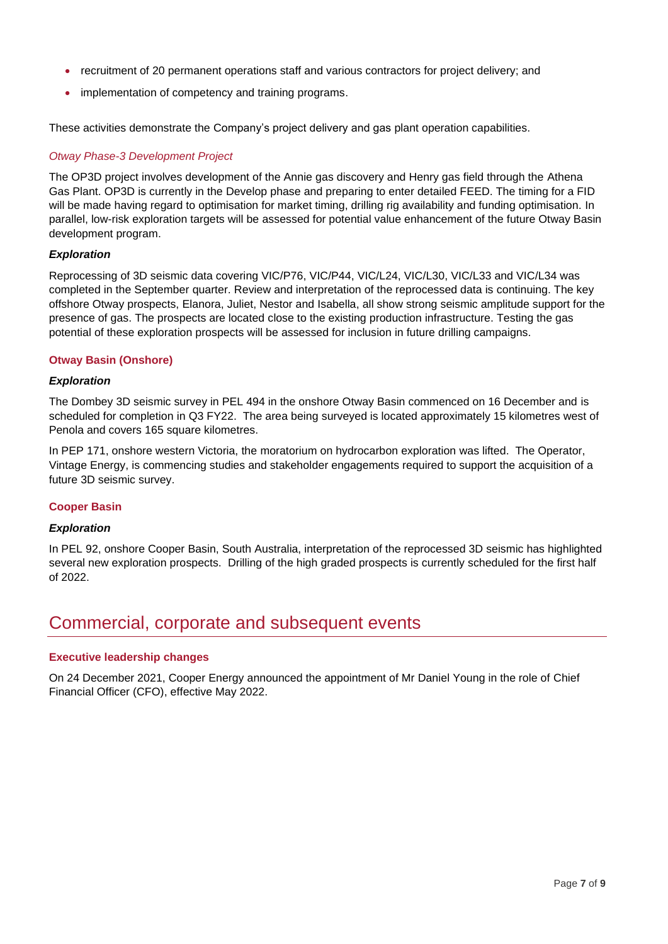- recruitment of 20 permanent operations staff and various contractors for project delivery; and
- implementation of competency and training programs.

These activities demonstrate the Company's project delivery and gas plant operation capabilities.

#### *Otway Phase-3 Development Project*

The OP3D project involves development of the Annie gas discovery and Henry gas field through the Athena Gas Plant. OP3D is currently in the Develop phase and preparing to enter detailed FEED. The timing for a FID will be made having regard to optimisation for market timing, drilling rig availability and funding optimisation. In parallel, low-risk exploration targets will be assessed for potential value enhancement of the future Otway Basin development program.

#### *Exploration*

Reprocessing of 3D seismic data covering VIC/P76, VIC/P44, VIC/L24, VIC/L30, VIC/L33 and VIC/L34 was completed in the September quarter. Review and interpretation of the reprocessed data is continuing. The key offshore Otway prospects, Elanora, Juliet, Nestor and Isabella, all show strong seismic amplitude support for the presence of gas. The prospects are located close to the existing production infrastructure. Testing the gas potential of these exploration prospects will be assessed for inclusion in future drilling campaigns.

#### **Otway Basin (Onshore)**

#### *Exploration*

The Dombey 3D seismic survey in PEL 494 in the onshore Otway Basin commenced on 16 December and is scheduled for completion in Q3 FY22. The area being surveyed is located approximately 15 kilometres west of Penola and covers 165 square kilometres.

In PEP 171, onshore western Victoria, the moratorium on hydrocarbon exploration was lifted. The Operator, Vintage Energy, is commencing studies and stakeholder engagements required to support the acquisition of a future 3D seismic survey.

#### **Cooper Basin**

#### *Exploration*

In PEL 92, onshore Cooper Basin, South Australia, interpretation of the reprocessed 3D seismic has highlighted several new exploration prospects. Drilling of the high graded prospects is currently scheduled for the first half of 2022.

### Commercial, corporate and subsequent events

#### **Executive leadership changes**

On 24 December 2021, Cooper Energy announced the appointment of Mr Daniel Young in the role of Chief Financial Officer (CFO), effective May 2022.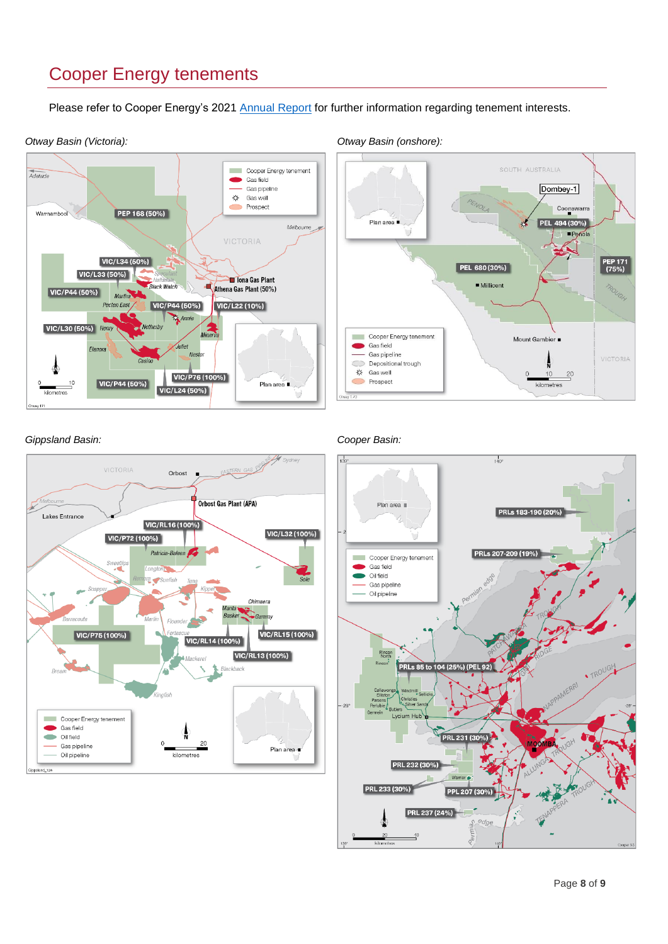## Cooper Energy tenements

Please refer to Cooper Energy's 2021 [Annual Report](https://www.cooperenergy.com.au/Upload/Documents/AnnouncementsItem/2021-Cooper-Energy-Annual-Report.pdf) for further information regarding tenement interests.



*Otway Basin (Victoria): Otway Basin (onshore):*



#### *Gippsland Basin: Cooper Basin:*